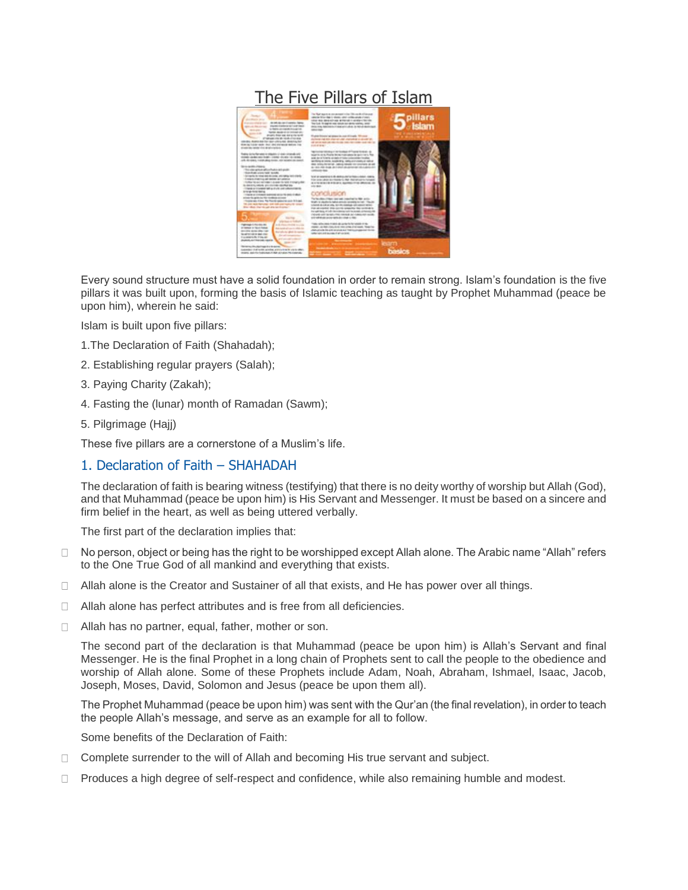# [The Five Pillars of Islam](http://islamicpamphlets.com/the-five-pillars-of-islam/)



Every sound structure must have a solid foundation in order to remain strong. Islam's foundation is the five pillars it was built upon, forming the basis of Islamic teaching as taught by Prophet Muhammad (peace be upon him), wherein he said:

Islam is built upon five pillars:

- 1.The Declaration of Faith (Shahadah);
- 2. Establishing regular prayers (Salah);
- 3. Paying Charity (Zakah);
- 4. Fasting the (lunar) month of Ramadan (Sawm);
- 5. Pilgrimage (Hajj)

These five pillars are a cornerstone of a Muslim's life.

### 1. Declaration of Faith – SHAHADAH

The declaration of faith is bearing witness (testifying) that there is no deity worthy of worship but Allah (God), and that Muhammad (peace be upon him) is His Servant and Messenger. It must be based on a sincere and firm belief in the heart, as well as being uttered verbally.

The first part of the declaration implies that:

- No person, object or being has the right to be worshipped except Allah alone. The Arabic name "Allah" refers  $\Box$ to the One True God of all mankind and everything that exists.
- $\Box$  Allah alone is the Creator and Sustainer of all that exists, and He has power over all things.
- □ Allah alone has perfect attributes and is free from all deficiencies.
- $\Box$  Allah has no partner, equal, father, mother or son.

The second part of the declaration is that Muhammad (peace be upon him) is Allah's Servant and final Messenger. He is the final Prophet in a long chain of Prophets sent to call the people to the obedience and worship of Allah alone. Some of these Prophets include Adam, Noah, Abraham, Ishmael, Isaac, Jacob, Joseph, Moses, David, Solomon and Jesus (peace be upon them all).

The Prophet Muhammad (peace be upon him) was sent with the Qur'an (the final revelation), in order to teach the people Allah's message, and serve as an example for all to follow.

Some benefits of the Declaration of Faith:

- $\Box$  Complete surrender to the will of Allah and becoming His true servant and subject.
- $\Box$ Produces a high degree of self-respect and confidence, while also remaining humble and modest.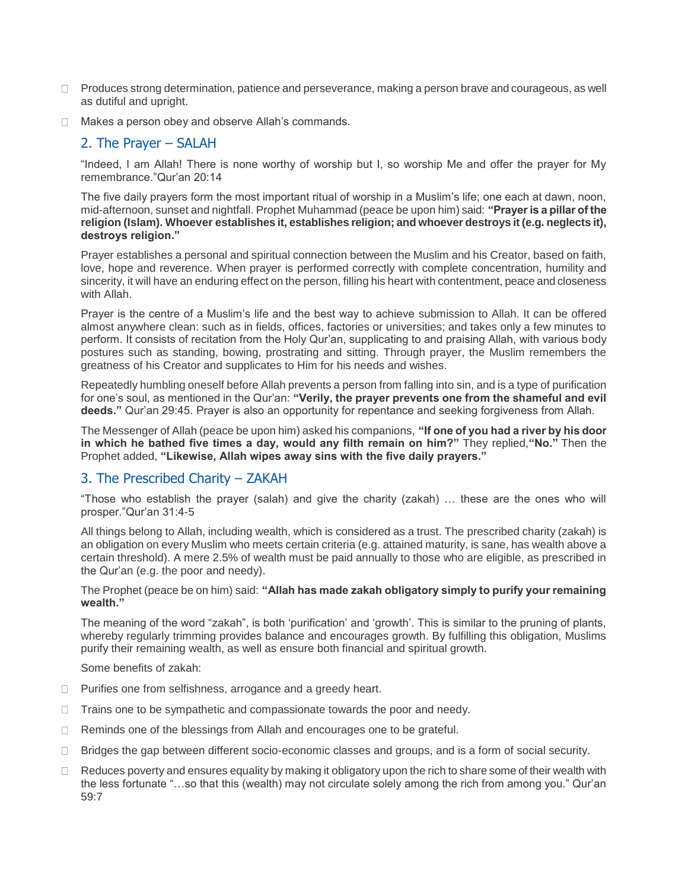- $\Box$  Produces strong determination, patience and perseverance, making a person brave and courageous, as well as dutiful and upright.
- $\Box$  Makes a person obey and observe Allah's commands.

### 2. The Prayer – SALAH

"Indeed, I am Allah! There is none worthy of worship but I, so worship Me and offer the prayer for My remembrance."Qur'an 20:14

The five daily prayers form the most important ritual of worship in a Muslim's life; one each at dawn, noon, mid-afternoon, sunset and nightfall. Prophet Muhammad (peace be upon him) said: **"Prayer is a pillar of the religion (Islam). Whoever establishes it, establishes religion; and whoever destroys it (e.g. neglects it), destroys religion."**

Prayer establishes a personal and spiritual connection between the Muslim and his Creator, based on faith, love, hope and reverence. When prayer is performed correctly with complete concentration, humility and sincerity, it will have an enduring effect on the person, filling his heart with contentment, peace and closeness with Allah.

Prayer is the centre of a Muslim's life and the best way to achieve submission to Allah. It can be offered almost anywhere clean: such as in fields, offices, factories or universities; and takes only a few minutes to perform. It consists of recitation from the Holy Qur'an, supplicating to and praising Allah, with various body postures such as standing, bowing, prostrating and sitting. Through prayer, the Muslim remembers the greatness of his Creator and supplicates to Him for his needs and wishes.

Repeatedly humbling oneself before Allah prevents a person from falling into sin, and is a type of purification for one's soul, as mentioned in the Qur'an: **"Verily, the prayer prevents one from the shameful and evil deeds."** Qur'an 29:45. Prayer is also an opportunity for repentance and seeking forgiveness from Allah.

The Messenger of Allah (peace be upon him) asked his companions, **"If one of you had a river by his door in which he bathed five times a day, would any filth remain on him?"** They replied,**"No."** Then the Prophet added, **"Likewise, Allah wipes away sins with the five daily prayers."**

### 3. The Prescribed Charity – ZAKAH

"Those who establish the prayer (salah) and give the charity (zakah) … these are the ones who will prosper."Qur'an 31:4-5

All things belong to Allah, including wealth, which is considered as a trust. The prescribed charity (zakah) is an obligation on every Muslim who meets certain criteria (e.g. attained maturity, is sane, has wealth above a certain threshold). A mere 2.5% of wealth must be paid annually to those who are eligible, as prescribed in the Qur'an (e.g. the poor and needy).

The Prophet (peace be on him) said: **"Allah has made zakah obligatory simply to purify your remaining wealth."**

The meaning of the word "zakah", is both 'purification' and 'growth'. This is similar to the pruning of plants, whereby regularly trimming provides balance and encourages growth. By fulfilling this obligation, Muslims purify their remaining wealth, as well as ensure both financial and spiritual growth.

Some benefits of zakah:

- $\Box$  Purifies one from selfishness, arrogance and a greedy heart.
- Trains one to be sympathetic and compassionate towards the poor and needy.  $\Box$
- Reminds one of the blessings from Allah and encourages one to be grateful.  $\Box$
- Bridges the gap between different socio-economic classes and groups, and is a form of social security.  $\Box$
- Reduces poverty and ensures equality by making it obligatory upon the rich to share some of their wealth with  $\Box$ the less fortunate "…so that this (wealth) may not circulate solely among the rich from among you." Qur'an 59:7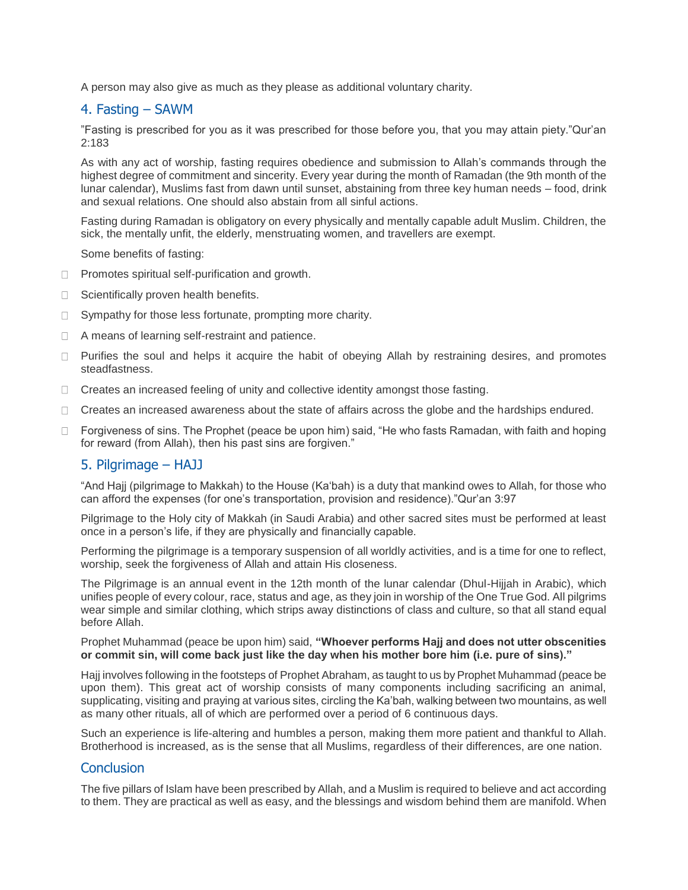A person may also give as much as they please as additional voluntary charity.

## 4. Fasting – SAWM

"Fasting is prescribed for you as it was prescribed for those before you, that you may attain piety."Qur'an 2:183

As with any act of worship, fasting requires obedience and submission to Allah's commands through the highest degree of commitment and sincerity. Every year during the month of Ramadan (the 9th month of the lunar calendar), Muslims fast from dawn until sunset, abstaining from three key human needs – food, drink and sexual relations. One should also abstain from all sinful actions.

Fasting during Ramadan is obligatory on every physically and mentally capable adult Muslim. Children, the sick, the mentally unfit, the elderly, menstruating women, and travellers are exempt.

Some benefits of fasting:

- $\Box$  Promotes spiritual self-purification and growth.
- $\Box$  Scientifically proven health benefits.
- Sympathy for those less fortunate, prompting more charity.  $\Box$
- □ A means of learning self-restraint and patience.
- $\Box$  Purifies the soul and helps it acquire the habit of obeying Allah by restraining desires, and promotes steadfastness.
- □ Creates an increased feeling of unity and collective identity amongst those fasting.
- $\Box$  Creates an increased awareness about the state of affairs across the globe and the hardships endured.
- $\Box$  Forgiveness of sins. The Prophet (peace be upon him) said, "He who fasts Ramadan, with faith and hoping for reward (from Allah), then his past sins are forgiven."

### 5. Pilgrimage – HAJJ

"And Hajj (pilgrimage to Makkah) to the House (Ka'bah) is a duty that mankind owes to Allah, for those who can afford the expenses (for one's transportation, provision and residence)."Qur'an 3:97

Pilgrimage to the Holy city of Makkah (in Saudi Arabia) and other sacred sites must be performed at least once in a person's life, if they are physically and financially capable.

Performing the pilgrimage is a temporary suspension of all worldly activities, and is a time for one to reflect, worship, seek the forgiveness of Allah and attain His closeness.

The Pilgrimage is an annual event in the 12th month of the lunar calendar (Dhul-Hijjah in Arabic), which unifies people of every colour, race, status and age, as they join in worship of the One True God. All pilgrims wear simple and similar clothing, which strips away distinctions of class and culture, so that all stand equal before Allah.

Prophet Muhammad (peace be upon him) said, **"Whoever performs Hajj and does not utter obscenities or commit sin, will come back just like the day when his mother bore him (i.e. pure of sins)."**

Hajj involves following in the footsteps of Prophet Abraham, as taught to us by Prophet Muhammad (peace be upon them). This great act of worship consists of many components including sacrificing an animal, supplicating, visiting and praying at various sites, circling the Ka'bah, walking between two mountains, as well as many other rituals, all of which are performed over a period of 6 continuous days.

Such an experience is life-altering and humbles a person, making them more patient and thankful to Allah. Brotherhood is increased, as is the sense that all Muslims, regardless of their differences, are one nation.

### **Conclusion**

The five pillars of Islam have been prescribed by Allah, and a Muslim is required to believe and act according to them. They are practical as well as easy, and the blessings and wisdom behind them are manifold. When